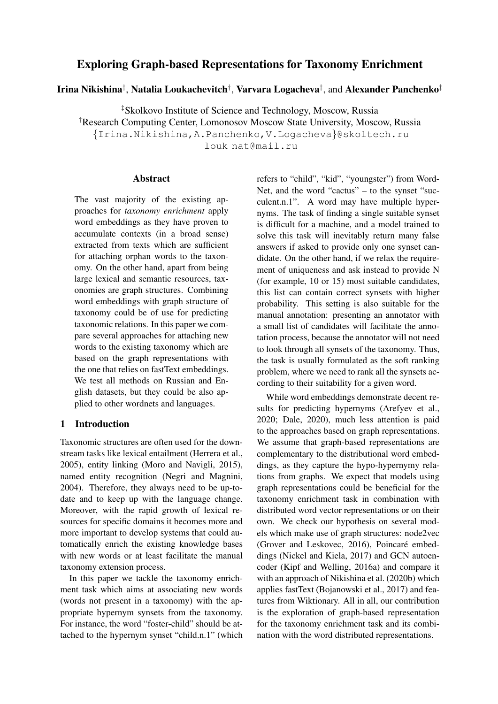# Exploring Graph-based Representations for Taxonomy Enrichment

Irina Nikishina‡, Natalia Loukachevitch†, Varvara Logacheva‡, and Alexander Panchenko‡

‡Skolkovo Institute of Science and Technology, Moscow, Russia †Research Computing Center, Lomonosov Moscow State University, Moscow, Russia {Irina.Nikishina,A.Panchenko,V.Logacheva}@skoltech.ru louk nat@mail.ru

### Abstract

The vast majority of the existing approaches for *taxonomy enrichment* apply word embeddings as they have proven to accumulate contexts (in a broad sense) extracted from texts which are sufficient for attaching orphan words to the taxonomy. On the other hand, apart from being large lexical and semantic resources, taxonomies are graph structures. Combining word embeddings with graph structure of taxonomy could be of use for predicting taxonomic relations. In this paper we compare several approaches for attaching new words to the existing taxonomy which are based on the graph representations with the one that relies on fastText embeddings. We test all methods on Russian and English datasets, but they could be also applied to other wordnets and languages.

# 1 Introduction

Taxonomic structures are often used for the downstream tasks like lexical entailment (Herrera et al., 2005), entity linking (Moro and Navigli, 2015), named entity recognition (Negri and Magnini, 2004). Therefore, they always need to be up-todate and to keep up with the language change. Moreover, with the rapid growth of lexical resources for specific domains it becomes more and more important to develop systems that could automatically enrich the existing knowledge bases with new words or at least facilitate the manual taxonomy extension process.

In this paper we tackle the taxonomy enrichment task which aims at associating new words (words not present in a taxonomy) with the appropriate hypernym synsets from the taxonomy. For instance, the word "foster-child" should be attached to the hypernym synset "child.n.1" (which refers to "child", "kid", "youngster") from Word-Net, and the word "cactus" – to the synset "succulent.n.1". A word may have multiple hypernyms. The task of finding a single suitable synset is difficult for a machine, and a model trained to solve this task will inevitably return many false answers if asked to provide only one synset candidate. On the other hand, if we relax the requirement of uniqueness and ask instead to provide N (for example, 10 or 15) most suitable candidates, this list can contain correct synsets with higher probability. This setting is also suitable for the manual annotation: presenting an annotator with a small list of candidates will facilitate the annotation process, because the annotator will not need to look through all synsets of the taxonomy. Thus, the task is usually formulated as the soft ranking problem, where we need to rank all the synsets according to their suitability for a given word.

While word embeddings demonstrate decent results for predicting hypernyms (Arefyev et al., 2020; Dale, 2020), much less attention is paid to the approaches based on graph representations. We assume that graph-based representations are complementary to the distributional word embeddings, as they capture the hypo-hypernymy relations from graphs. We expect that models using graph representations could be beneficial for the taxonomy enrichment task in combination with distributed word vector representations or on their own. We check our hypothesis on several models which make use of graph structures: node2vec (Grover and Leskovec, 2016), Poincaré embeddings (Nickel and Kiela, 2017) and GCN autoencoder (Kipf and Welling, 2016a) and compare it with an approach of Nikishina et al. (2020b) which applies fastText (Bojanowski et al., 2017) and features from Wiktionary. All in all, our contribution is the exploration of graph-based representation for the taxonomy enrichment task and its combination with the word distributed representations.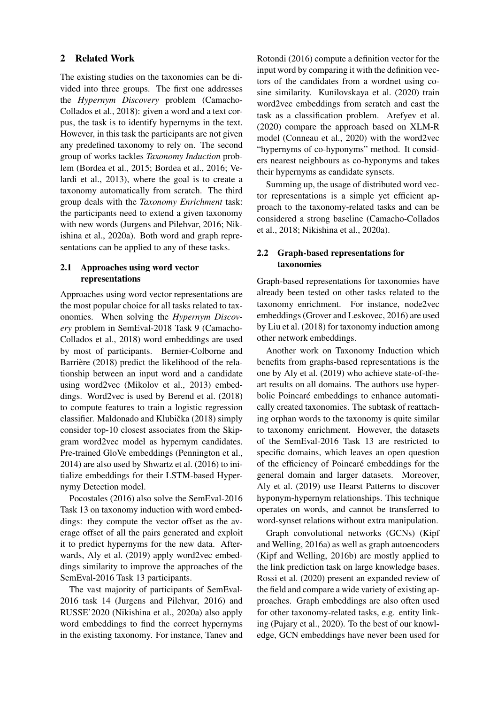# 2 Related Work

The existing studies on the taxonomies can be divided into three groups. The first one addresses the *Hypernym Discovery* problem (Camacho-Collados et al., 2018): given a word and a text corpus, the task is to identify hypernyms in the text. However, in this task the participants are not given any predefined taxonomy to rely on. The second group of works tackles *Taxonomy Induction* problem (Bordea et al., 2015; Bordea et al., 2016; Velardi et al., 2013), where the goal is to create a taxonomy automatically from scratch. The third group deals with the *Taxonomy Enrichment* task: the participants need to extend a given taxonomy with new words (Jurgens and Pilehvar, 2016; Nikishina et al., 2020a). Both word and graph representations can be applied to any of these tasks.

# 2.1 Approaches using word vector representations

Approaches using word vector representations are the most popular choice for all tasks related to taxonomies. When solving the *Hypernym Discovery* problem in SemEval-2018 Task 9 (Camacho-Collados et al., 2018) word embeddings are used by most of participants. Bernier-Colborne and Barrière (2018) predict the likelihood of the relationship between an input word and a candidate using word2vec (Mikolov et al., 2013) embeddings. Word2vec is used by Berend et al. (2018) to compute features to train a logistic regression classifier. Maldonado and Klubička (2018) simply consider top-10 closest associates from the Skipgram word2vec model as hypernym candidates. Pre-trained GloVe embeddings (Pennington et al., 2014) are also used by Shwartz et al. (2016) to initialize embeddings for their LSTM-based Hypernymy Detection model.

Pocostales (2016) also solve the SemEval-2016 Task 13 on taxonomy induction with word embeddings: they compute the vector offset as the average offset of all the pairs generated and exploit it to predict hypernyms for the new data. Afterwards, Aly et al. (2019) apply word2vec embeddings similarity to improve the approaches of the SemEval-2016 Task 13 participants.

The vast majority of participants of SemEval-2016 task 14 (Jurgens and Pilehvar, 2016) and RUSSE'2020 (Nikishina et al., 2020a) also apply word embeddings to find the correct hypernyms in the existing taxonomy. For instance, Tanev and

Rotondi (2016) compute a definition vector for the input word by comparing it with the definition vectors of the candidates from a wordnet using cosine similarity. Kunilovskaya et al. (2020) train word2vec embeddings from scratch and cast the task as a classification problem. Arefyev et al. (2020) compare the approach based on XLM-R model (Conneau et al., 2020) with the word2vec "hypernyms of co-hyponyms" method. It considers nearest neighbours as co-hyponyms and takes their hypernyms as candidate synsets.

Summing up, the usage of distributed word vector representations is a simple yet efficient approach to the taxonomy-related tasks and can be considered a strong baseline (Camacho-Collados et al., 2018; Nikishina et al., 2020a).

# 2.2 Graph-based representations for taxonomies

Graph-based representations for taxonomies have already been tested on other tasks related to the taxonomy enrichment. For instance, node2vec embeddings (Grover and Leskovec, 2016) are used by Liu et al. (2018) for taxonomy induction among other network embeddings.

Another work on Taxonomy Induction which benefits from graphs-based representations is the one by Aly et al. (2019) who achieve state-of-theart results on all domains. The authors use hyperbolic Poincaré embeddings to enhance automatically created taxonomies. The subtask of reattaching orphan words to the taxonomy is quite similar to taxonomy enrichment. However, the datasets of the SemEval-2016 Task 13 are restricted to specific domains, which leaves an open question of the efficiency of Poincaré embeddings for the general domain and larger datasets. Moreover, Aly et al. (2019) use Hearst Patterns to discover hyponym-hypernym relationships. This technique operates on words, and cannot be transferred to word-synset relations without extra manipulation.

Graph convolutional networks (GCNs) (Kipf and Welling, 2016a) as well as graph autoencoders (Kipf and Welling, 2016b) are mostly applied to the link prediction task on large knowledge bases. Rossi et al. (2020) present an expanded review of the field and compare a wide variety of existing approaches. Graph embeddings are also often used for other taxonomy-related tasks, e.g. entity linking (Pujary et al., 2020). To the best of our knowledge, GCN embeddings have never been used for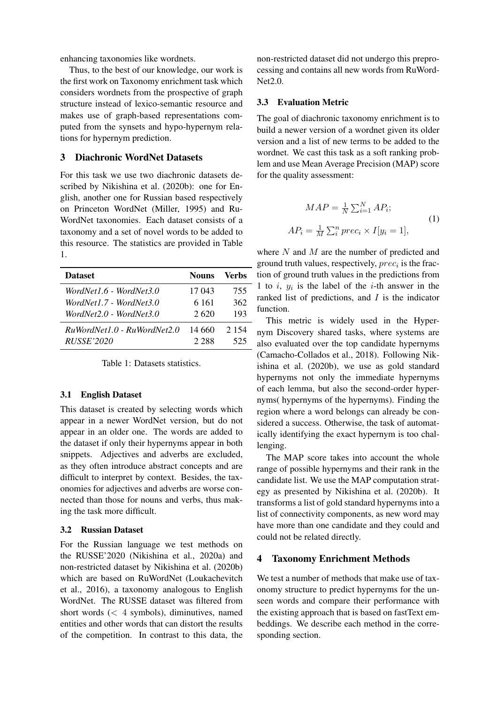enhancing taxonomies like wordnets.

Thus, to the best of our knowledge, our work is the first work on Taxonomy enrichment task which considers wordnets from the prospective of graph structure instead of lexico-semantic resource and makes use of graph-based representations computed from the synsets and hypo-hypernym relations for hypernym prediction.

### 3 Diachronic WordNet Datasets

For this task we use two diachronic datasets described by Nikishina et al. (2020b): one for English, another one for Russian based respectively on Princeton WordNet (Miller, 1995) and Ru-WordNet taxonomies. Each dataset consists of a taxonomy and a set of novel words to be added to this resource. The statistics are provided in Table 1.

| <b>Dataset</b>                | <b>Nouns</b> | Verbs   |
|-------------------------------|--------------|---------|
| WordNet1.6 - WordNet3.0       | 17 043       | 755     |
| WordNet1.7 - WordNet3.0       | 6 1 6 1      | 362     |
| WordNet2.0 - WordNet3.0       | 2.620        | 193     |
| $RuWordNet1.0 - RuWordNet2.0$ | 14.660       | 2 1 5 4 |
| <i>RUSSE</i> '2020            | 2.288        | 525     |

Table 1: Datasets statistics.

#### 3.1 English Dataset

This dataset is created by selecting words which appear in a newer WordNet version, but do not appear in an older one. The words are added to the dataset if only their hypernyms appear in both snippets. Adjectives and adverbs are excluded, as they often introduce abstract concepts and are difficult to interpret by context. Besides, the taxonomies for adjectives and adverbs are worse connected than those for nouns and verbs, thus making the task more difficult.

#### 3.2 Russian Dataset

For the Russian language we test methods on the RUSSE'2020 (Nikishina et al., 2020a) and non-restricted dataset by Nikishina et al. (2020b) which are based on RuWordNet (Loukachevitch et al., 2016), a taxonomy analogous to English WordNet. The RUSSE dataset was filtered from short words  $\left($  < 4 symbols), diminutives, named entities and other words that can distort the results of the competition. In contrast to this data, the

non-restricted dataset did not undergo this preprocessing and contains all new words from RuWord-Net2.0.

#### 3.3 Evaluation Metric

The goal of diachronic taxonomy enrichment is to build a newer version of a wordnet given its older version and a list of new terms to be added to the wordnet. We cast this task as a soft ranking problem and use Mean Average Precision (MAP) score for the quality assessment:

$$
MAP = \frac{1}{N} \sum_{i=1}^{N} AP_i;
$$
  
\n
$$
AP_i = \frac{1}{M} \sum_{i}^{n} prec_i \times I[y_i = 1],
$$
\n(1)

where  $N$  and  $M$  are the number of predicted and ground truth values, respectively,  $prec_i$  is the fraction of ground truth values in the predictions from 1 to  $i, y_i$  is the label of the *i*-th answer in the ranked list of predictions, and  $I$  is the indicator function.

This metric is widely used in the Hypernym Discovery shared tasks, where systems are also evaluated over the top candidate hypernyms (Camacho-Collados et al., 2018). Following Nikishina et al. (2020b), we use as gold standard hypernyms not only the immediate hypernyms of each lemma, but also the second-order hypernyms( hypernyms of the hypernyms). Finding the region where a word belongs can already be considered a success. Otherwise, the task of automatically identifying the exact hypernym is too challenging.

The MAP score takes into account the whole range of possible hypernyms and their rank in the candidate list. We use the MAP computation strategy as presented by Nikishina et al. (2020b). It transforms a list of gold standard hypernyms into a list of connectivity components, as new word may have more than one candidate and they could and could not be related directly.

### 4 Taxonomy Enrichment Methods

We test a number of methods that make use of taxonomy structure to predict hypernyms for the unseen words and compare their performance with the existing approach that is based on fastText embeddings. We describe each method in the corresponding section.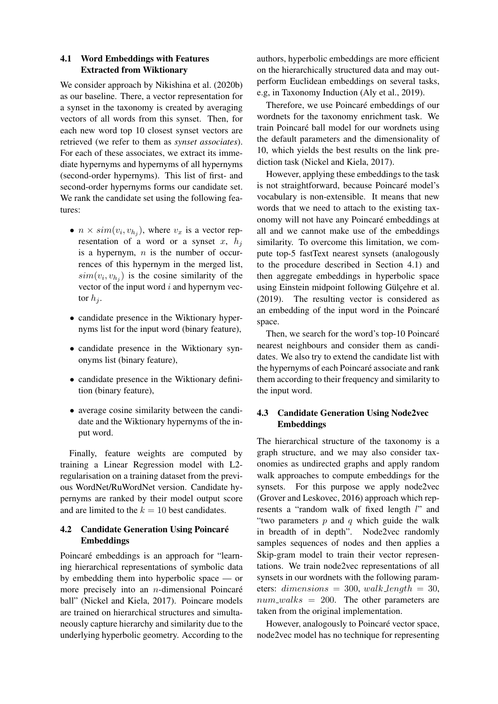# 4.1 Word Embeddings with Features Extracted from Wiktionary

We consider approach by Nikishina et al. (2020b) as our baseline. There, a vector representation for a synset in the taxonomy is created by averaging vectors of all words from this synset. Then, for each new word top 10 closest synset vectors are retrieved (we refer to them as *synset associates*). For each of these associates, we extract its immediate hypernyms and hypernyms of all hypernyms (second-order hypernyms). This list of first- and second-order hypernyms forms our candidate set. We rank the candidate set using the following features:

- $n \times sim(v_i, v_{h_j})$ , where  $v_x$  is a vector representation of a word or a synset  $x$ ,  $h_i$ is a hypernym,  $n$  is the number of occurrences of this hypernym in the merged list,  $sim(v_i, v_{h_j})$  is the cosine similarity of the vector of the input word  $i$  and hypernym vector  $h_i$ .
- candidate presence in the Wiktionary hypernyms list for the input word (binary feature),
- candidate presence in the Wiktionary synonyms list (binary feature),
- candidate presence in the Wiktionary definition (binary feature),
- average cosine similarity between the candidate and the Wiktionary hypernyms of the input word.

Finally, feature weights are computed by training a Linear Regression model with L2 regularisation on a training dataset from the previous WordNet/RuWordNet version. Candidate hypernyms are ranked by their model output score and are limited to the  $k = 10$  best candidates.

# 4.2 Candidate Generation Using Poincaré Embeddings

Poincaré embeddings is an approach for "learning hierarchical representations of symbolic data by embedding them into hyperbolic space — or more precisely into an  $n$ -dimensional Poincaré ball" (Nickel and Kiela, 2017). Poincare models are trained on hierarchical structures and simultaneously capture hierarchy and similarity due to the underlying hyperbolic geometry. According to the authors, hyperbolic embeddings are more efficient on the hierarchically structured data and may outperform Euclidean embeddings on several tasks, e.g, in Taxonomy Induction (Aly et al., 2019).

Therefore, we use Poincaré embeddings of our wordnets for the taxonomy enrichment task. We train Poincaré ball model for our wordnets using the default parameters and the dimensionality of 10, which yields the best results on the link prediction task (Nickel and Kiela, 2017).

However, applying these embeddings to the task is not straightforward, because Poincaré model's vocabulary is non-extensible. It means that new words that we need to attach to the existing taxonomy will not have any Poincaré embeddings at all and we cannot make use of the embeddings similarity. To overcome this limitation, we compute top-5 fastText nearest synsets (analogously to the procedure described in Section 4.1) and then aggregate embeddings in hyperbolic space using Einstein midpoint following Gülçehre et al. (2019). The resulting vector is considered as an embedding of the input word in the Poincaré space.

Then, we search for the word's top-10 Poincaré nearest neighbours and consider them as candidates. We also try to extend the candidate list with the hypernyms of each Poincaré associate and rank them according to their frequency and similarity to the input word.

# 4.3 Candidate Generation Using Node2vec Embeddings

The hierarchical structure of the taxonomy is a graph structure, and we may also consider taxonomies as undirected graphs and apply random walk approaches to compute embeddings for the synsets. For this purpose we apply node2vec (Grover and Leskovec, 2016) approach which represents a "random walk of fixed length l" and "two parameters  $p$  and  $q$  which guide the walk in breadth of in depth". Node2vec randomly samples sequences of nodes and then applies a Skip-gram model to train their vector representations. We train node2vec representations of all synsets in our wordnets with the following parameters: dimensions = 300, walk\_length = 30,  $num\_walks = 200$ . The other parameters are taken from the original implementation.

However, analogously to Poincaré vector space, node2vec model has no technique for representing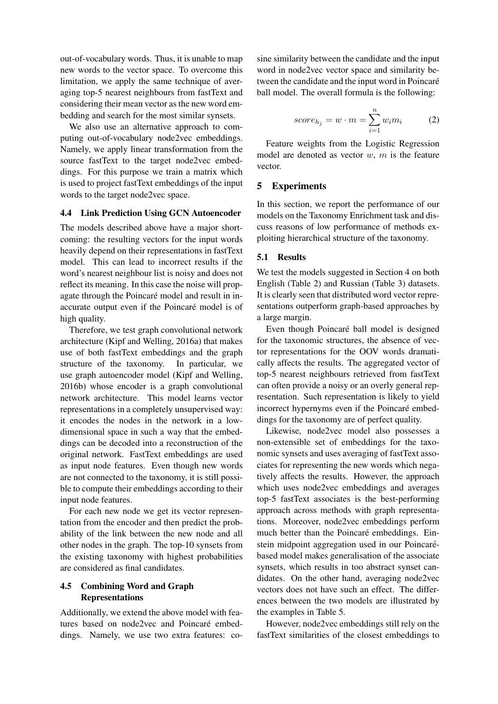out-of-vocabulary words. Thus, it is unable to map new words to the vector space. To overcome this limitation, we apply the same technique of averaging top-5 nearest neighbours from fastText and considering their mean vector as the new word embedding and search for the most similar synsets.

We also use an alternative approach to computing out-of-vocabulary node2vec embeddings. Namely, we apply linear transformation from the source fastText to the target node2vec embeddings. For this purpose we train a matrix which is used to project fastText embeddings of the input words to the target node2vec space.

#### 4.4 Link Prediction Using GCN Autoencoder

The models described above have a major shortcoming: the resulting vectors for the input words heavily depend on their representations in fastText model. This can lead to incorrect results if the word's nearest neighbour list is noisy and does not reflect its meaning. In this case the noise will propagate through the Poincaré model and result in inaccurate output even if the Poincaré model is of high quality.

Therefore, we test graph convolutional network architecture (Kipf and Welling, 2016a) that makes use of both fastText embeddings and the graph structure of the taxonomy. In particular, we use graph autoencoder model (Kipf and Welling, 2016b) whose encoder is a graph convolutional network architecture. This model learns vector representations in a completely unsupervised way: it encodes the nodes in the network in a lowdimensional space in such a way that the embeddings can be decoded into a reconstruction of the original network. FastText embeddings are used as input node features. Even though new words are not connected to the taxonomy, it is still possible to compute their embeddings according to their input node features.

For each new node we get its vector representation from the encoder and then predict the probability of the link between the new node and all other nodes in the graph. The top-10 synsets from the existing taxonomy with highest probabilities are considered as final candidates.

## 4.5 Combining Word and Graph Representations

Additionally, we extend the above model with features based on node2vec and Poincaré embeddings. Namely, we use two extra features: co-

sine similarity between the candidate and the input word in node2vec vector space and similarity between the candidate and the input word in Poincaré ball model. The overall formula is the following:

$$
score_{h_j} = w \cdot m = \sum_{i=1}^{n} w_i m_i \tag{2}
$$

Feature weights from the Logistic Regression model are denoted as vector  $w$ ,  $m$  is the feature vector.

#### 5 Experiments

In this section, we report the performance of our models on the Taxonomy Enrichment task and discuss reasons of low performance of methods exploiting hierarchical structure of the taxonomy.

#### 5.1 Results

We test the models suggested in Section 4 on both English (Table 2) and Russian (Table 3) datasets. It is clearly seen that distributed word vector representations outperform graph-based approaches by a large margin.

Even though Poincaré ball model is designed for the taxonomic structures, the absence of vector representations for the OOV words dramatically affects the results. The aggregated vector of top-5 nearest neighbours retrieved from fastText can often provide a noisy or an overly general representation. Such representation is likely to yield incorrect hypernyms even if the Poincaré embeddings for the taxonomy are of perfect quality.

Likewise, node2vec model also possesses a non-extensible set of embeddings for the taxonomic synsets and uses averaging of fastText associates for representing the new words which negatively affects the results. However, the approach which uses node2vec embeddings and averages top-5 fastText associates is the best-performing approach across methods with graph representations. Moreover, node2vec embeddings perform much better than the Poincaré embeddings. Einstein midpoint aggregation used in our Poincarébased model makes generalisation of the associate synsets, which results in too abstract synset candidates. On the other hand, averaging node2vec vectors does not have such an effect. The differences between the two models are illustrated by the examples in Table 5.

However, node2vec embeddings still rely on the fastText similarities of the closest embeddings to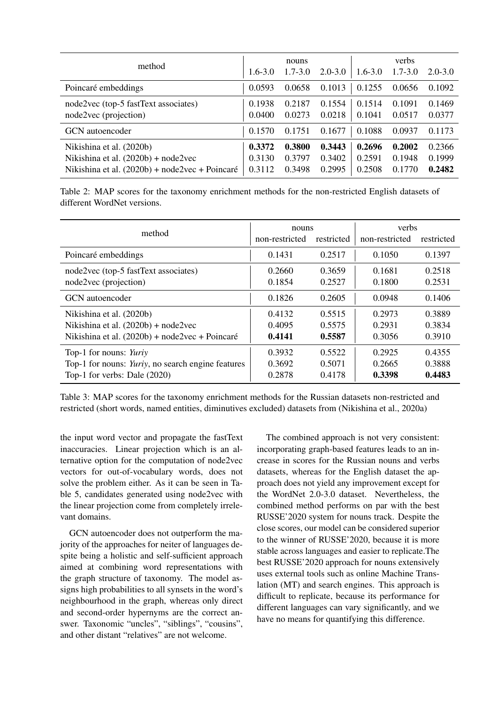| method                                                                                                              | $1.6 - 3.0$                | nouns<br>$1.7 - 3.0$       | $2.0 - 3.0$                | $1.6 - 3.0$                | verbs<br>$1.7 - 3.0$       | $2.0 - 3.0$                |
|---------------------------------------------------------------------------------------------------------------------|----------------------------|----------------------------|----------------------------|----------------------------|----------------------------|----------------------------|
| Poincaré embeddings                                                                                                 | 0.0593                     | 0.0658                     | 0.1013                     | 0.1255                     | 0.0656                     | 0.1092                     |
| node2vec (top-5 fastText associates)<br>node2vec (projection)                                                       | 0.1938<br>0.0400           | 0.2187<br>0.0273           | 0.1554<br>0.0218           | 0.1514<br>0.1041           | 0.1091<br>0.0517           | 0.1469<br>0.0377           |
| GCN autoencoder                                                                                                     | 0.1570                     | 0.1751                     | 0.1677                     | 0.1088                     | 0.0937                     | 0.1173                     |
| Nikishina et al. (2020b)<br>Nikishina et al. $(2020b) + node2vec$<br>Nikishina et al. (2020b) + node2vec + Poincaré | 0.3372<br>0.3130<br>0.3112 | 0.3800<br>0.3797<br>0.3498 | 0.3443<br>0.3402<br>0.2995 | 0.2696<br>0.2591<br>0.2508 | 0.2002<br>0.1948<br>0.1770 | 0.2366<br>0.1999<br>0.2482 |

Table 2: MAP scores for the taxonomy enrichment methods for the non-restricted English datasets of different WordNet versions.

| method                                            | nouns          |            | verbs          |            |
|---------------------------------------------------|----------------|------------|----------------|------------|
|                                                   | non-restricted | restricted | non-restricted | restricted |
| Poincaré embeddings                               | 0.1431         | 0.2517     | 0.1050         | 0.1397     |
| node2vec (top-5 fastText associates)              | 0.2660         | 0.3659     | 0.1681         | 0.2518     |
| node2vec (projection)                             | 0.1854         | 0.2527     | 0.1800         | 0.2531     |
| GCN autoencoder                                   | 0.1826         | 0.2605     | 0.0948         | 0.1406     |
| Nikishina et al. (2020b)                          | 0.4132         | 0.5515     | 0.2973         | 0.3889     |
| Nikishina et al. $(2020b) + node2vec$             | 0.4095         | 0.5575     | 0.2931         | 0.3834     |
| Nikishina et al. (2020b) + node2vec + Poincaré    | 0.4141         | 0.5587     | 0.3056         | 0.3910     |
| Top-1 for nouns: Yuriy                            | 0.3932         | 0.5522     | 0.2925         | 0.4355     |
| Top-1 for nouns: Yuriy, no search engine features | 0.3692         | 0.5071     | 0.2665         | 0.3888     |
| Top-1 for verbs: Dale $(2020)$                    | 0.2878         | 0.4178     | 0.3398         | 0.4483     |

Table 3: MAP scores for the taxonomy enrichment methods for the Russian datasets non-restricted and restricted (short words, named entities, diminutives excluded) datasets from (Nikishina et al., 2020a)

the input word vector and propagate the fastText inaccuracies. Linear projection which is an alternative option for the computation of node2vec vectors for out-of-vocabulary words, does not solve the problem either. As it can be seen in Table 5, candidates generated using node2vec with the linear projection come from completely irrelevant domains.

GCN autoencoder does not outperform the majority of the approaches for neiter of languages despite being a holistic and self-sufficient approach aimed at combining word representations with the graph structure of taxonomy. The model assigns high probabilities to all synsets in the word's neighbourhood in the graph, whereas only direct and second-order hypernyms are the correct answer. Taxonomic "uncles", "siblings", "cousins", and other distant "relatives" are not welcome.

The combined approach is not very consistent: incorporating graph-based features leads to an increase in scores for the Russian nouns and verbs datasets, whereas for the English dataset the approach does not yield any improvement except for the WordNet 2.0-3.0 dataset. Nevertheless, the combined method performs on par with the best RUSSE'2020 system for nouns track. Despite the close scores, our model can be considered superior to the winner of RUSSE'2020, because it is more stable across languages and easier to replicate.The best RUSSE'2020 approach for nouns extensively uses external tools such as online Machine Translation (MT) and search engines. This approach is difficult to replicate, because its performance for different languages can vary significantly, and we have no means for quantifying this difference.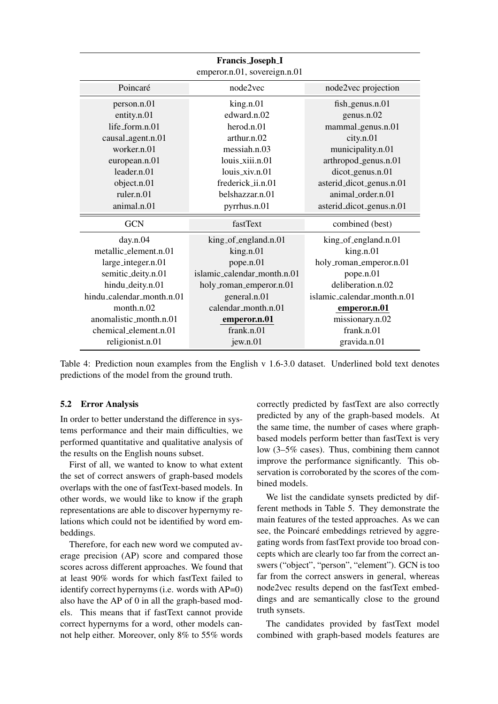| Francis_Joseph_I<br>emperor.n.01, sovereign.n.01 |                             |                             |  |
|--------------------------------------------------|-----------------------------|-----------------------------|--|
| Poincaré                                         | node2vec                    | node2vec projection         |  |
| person.n.01                                      | king.n.01                   | $fish_genus.n.01$           |  |
| entity.n.01                                      | edward.n.02                 | genus.n.02                  |  |
| life form.n.01                                   | herod.n.01                  | mammal_genus.n.01           |  |
| causal_agent.n.01                                | arthur.n.02                 | city.n.01                   |  |
| worker n 01                                      | messiah.n.03                | municipality.n.01           |  |
| european.n.01                                    | louis_xiii.n.01             | arthropod_genus.n.01        |  |
| leader.n.01                                      | $louis_xiv.n.01$            | dicot_genus.n.01            |  |
| object.n.01                                      | frederick_ii.n.01           | asterid_dicot_genus.n.01    |  |
| ruler.n.01                                       | belshazzar.n.01             | animal_order.n.01           |  |
| animal.n.01                                      | pyrrhus.n.01                | asterid_dicot_genus.n.01    |  |
| <b>GCN</b>                                       | fastText                    | combined (best)             |  |
| day.n.04                                         | king_of_england.n.01        | king_of_england.n.01        |  |
| metallic_element.n.01                            | king.n.01                   | king.n.01                   |  |
| large_integer.n.01                               | pope.n.01                   | holy_roman_emperor.n.01     |  |
| semitic_deity.n.01                               | islamic calendar month.n.01 | pope.n.01                   |  |
| hindu_deity.n.01                                 | holy_roman_emperor.n.01     | deliberation.n.02           |  |
| hindu_calendar_month.n.01                        | general.n.01                | islamic_calendar_month.n.01 |  |
| month.n.02                                       | calendar_month.n.01         | emperor.n.01                |  |
| anomalistic_month.n.01                           | emperor.n.01                | missionary.n.02             |  |
| chemical_element.n.01                            | frank.n.01                  | frank.n.01                  |  |
| religionist.n.01                                 | jew.n.01                    | gravida.n.01                |  |

Table 4: Prediction noun examples from the English v 1.6-3.0 dataset. Underlined bold text denotes predictions of the model from the ground truth.

### 5.2 Error Analysis

In order to better understand the difference in systems performance and their main difficulties, we performed quantitative and qualitative analysis of the results on the English nouns subset.

First of all, we wanted to know to what extent the set of correct answers of graph-based models overlaps with the one of fastText-based models. In other words, we would like to know if the graph representations are able to discover hypernymy relations which could not be identified by word embeddings.

Therefore, for each new word we computed average precision (AP) score and compared those scores across different approaches. We found that at least 90% words for which fastText failed to identify correct hypernyms (i.e. words with AP=0) also have the AP of 0 in all the graph-based models. This means that if fastText cannot provide correct hypernyms for a word, other models cannot help either. Moreover, only 8% to 55% words correctly predicted by fastText are also correctly predicted by any of the graph-based models. At the same time, the number of cases where graphbased models perform better than fastText is very low (3–5% cases). Thus, combining them cannot improve the performance significantly. This observation is corroborated by the scores of the combined models.

We list the candidate synsets predicted by different methods in Table 5. They demonstrate the main features of the tested approaches. As we can see, the Poincaré embeddings retrieved by aggregating words from fastText provide too broad concepts which are clearly too far from the correct answers ("object", "person", "element"). GCN is too far from the correct answers in general, whereas node2vec results depend on the fastText embeddings and are semantically close to the ground truth synsets.

The candidates provided by fastText model combined with graph-based models features are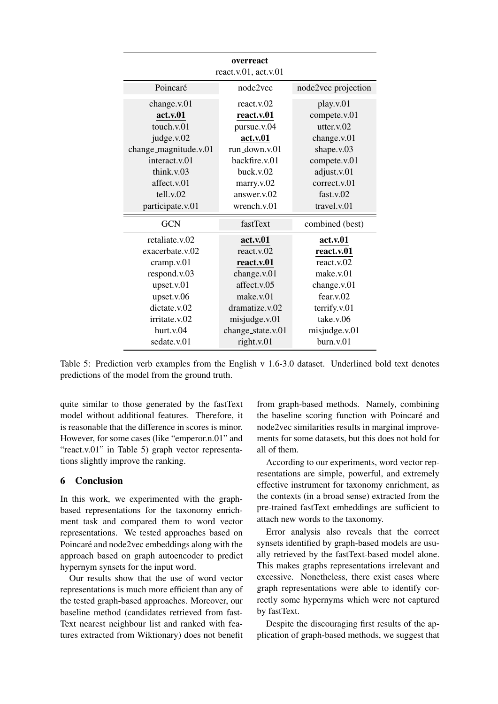| overreact<br>react.v. $01$ , act.v. $01$ |                   |                     |  |
|------------------------------------------|-------------------|---------------------|--|
| Poincaré                                 | node2yec          | node2vec projection |  |
| change.v.01                              | react.v.02        | play.v.01           |  |
| act.v.01                                 | react.v.01        | compete.v.01        |  |
| touch.v.01                               | pursue.v.04       | utter. $v.02$       |  |
| judge.v.02                               | act.v.01          | change.v.01         |  |
| change_magnitude.v.01                    | run down $y(0)$   | shape.v.03          |  |
| interact.v.01                            | backfire.v.01     | compete.v.01        |  |
| think.v.03                               | buck.v.02         | adjust.v.01         |  |
| affect.v.01                              | marry.v.02        | correct.v.01        |  |
| tell.v.02                                | answer.v.02       | fast.v.02           |  |
| participate.v.01                         | wrench.v.01       | travel.v.01         |  |
| <b>GCN</b>                               | fastText          | combined (best)     |  |
| retaliate.v.02                           | act.v.01          | act.v.01            |  |
| exacerbate.v.02                          | react.v.02        | react.v.01          |  |
| cramp.v.01                               | react.v.01        | react.v.02          |  |
| respond.v.03                             | change.v.01       | make.v.01           |  |
| upset.v.01                               | affect.v.05       | change.v.01         |  |
| upset.v.06                               | make.v.01         | fear.v.02           |  |
| dictate.v.02                             | dramatize.v.02    | terrify.v.01        |  |
| irritate.v.02                            | misjudge.v.01     | take.v.06           |  |
| hurt.v.04                                | change_state.v.01 | misjudge.v.01       |  |
| sedate.v.01                              | right.v.01        | burn.v.01           |  |

Table 5: Prediction verb examples from the English v 1.6-3.0 dataset. Underlined bold text denotes predictions of the model from the ground truth.

quite similar to those generated by the fastText model without additional features. Therefore, it is reasonable that the difference in scores is minor. However, for some cases (like "emperor.n.01" and "react.v.01" in Table 5) graph vector representations slightly improve the ranking.

### 6 Conclusion

In this work, we experimented with the graphbased representations for the taxonomy enrichment task and compared them to word vector representations. We tested approaches based on Poincaré and node2vec embeddings along with the approach based on graph autoencoder to predict hypernym synsets for the input word.

Our results show that the use of word vector representations is much more efficient than any of the tested graph-based approaches. Moreover, our baseline method (candidates retrieved from fast-Text nearest neighbour list and ranked with features extracted from Wiktionary) does not benefit

from graph-based methods. Namely, combining the baseline scoring function with Poincaré and node2vec similarities results in marginal improvements for some datasets, but this does not hold for all of them.

According to our experiments, word vector representations are simple, powerful, and extremely effective instrument for taxonomy enrichment, as the contexts (in a broad sense) extracted from the pre-trained fastText embeddings are sufficient to attach new words to the taxonomy.

Error analysis also reveals that the correct synsets identified by graph-based models are usually retrieved by the fastText-based model alone. This makes graphs representations irrelevant and excessive. Nonetheless, there exist cases where graph representations were able to identify correctly some hypernyms which were not captured by fastText.

Despite the discouraging first results of the application of graph-based methods, we suggest that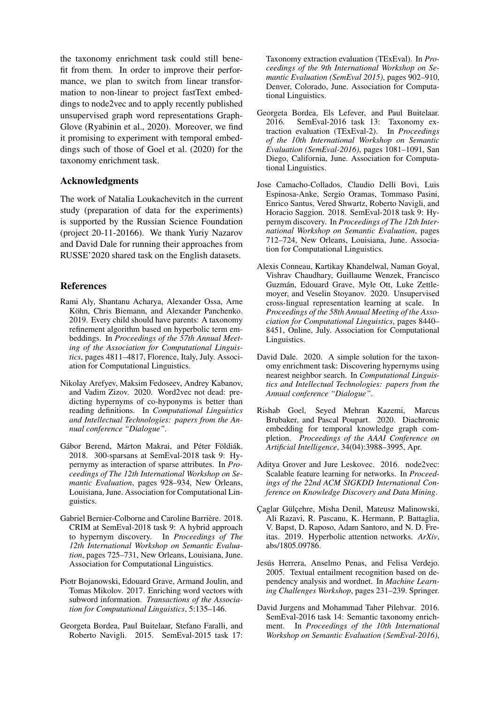the taxonomy enrichment task could still benefit from them. In order to improve their performance, we plan to switch from linear transformation to non-linear to project fastText embeddings to node2vec and to apply recently published unsupervised graph word representations Graph-Glove (Ryabinin et al., 2020). Moreover, we find it promising to experiment with temporal embeddings such of those of Goel et al. (2020) for the taxonomy enrichment task.

## Acknowledgments

The work of Natalia Loukachevitch in the current study (preparation of data for the experiments) is supported by the Russian Science Foundation (project 20-11-20166). We thank Yuriy Nazarov and David Dale for running their approaches from RUSSE'2020 shared task on the English datasets.

### References

- Rami Aly, Shantanu Acharya, Alexander Ossa, Arne Köhn, Chris Biemann, and Alexander Panchenko. 2019. Every child should have parents: A taxonomy refinement algorithm based on hyperbolic term embeddings. In *Proceedings of the 57th Annual Meeting of the Association for Computational Linguistics*, pages 4811–4817, Florence, Italy, July. Association for Computational Linguistics.
- Nikolay Arefyev, Maksim Fedoseev, Andrey Kabanov, and Vadim Zizov. 2020. Word2vec not dead: predicting hypernyms of co-hyponyms is better than reading definitions. In *Computational Linguistics and Intellectual Technologies: papers from the Annual conference "Dialogue"*.
- Gábor Berend, Márton Makrai, and Péter Földiák. 2018. 300-sparsans at SemEval-2018 task 9: Hypernymy as interaction of sparse attributes. In *Proceedings of The 12th International Workshop on Semantic Evaluation*, pages 928–934, New Orleans, Louisiana, June. Association for Computational Linguistics.
- Gabriel Bernier-Colborne and Caroline Barrière. 2018. CRIM at SemEval-2018 task 9: A hybrid approach to hypernym discovery. In *Proceedings of The 12th International Workshop on Semantic Evaluation*, pages 725–731, New Orleans, Louisiana, June. Association for Computational Linguistics.
- Piotr Bojanowski, Edouard Grave, Armand Joulin, and Tomas Mikolov. 2017. Enriching word vectors with subword information. *Transactions of the Association for Computational Linguistics*, 5:135–146.
- Georgeta Bordea, Paul Buitelaar, Stefano Faralli, and Roberto Navigli. 2015. SemEval-2015 task 17:

Taxonomy extraction evaluation (TExEval). In *Proceedings of the 9th International Workshop on Semantic Evaluation (SemEval 2015)*, pages 902–910, Denver, Colorado, June. Association for Computational Linguistics.

- Georgeta Bordea, Els Lefever, and Paul Buitelaar. 2016. SemEval-2016 task 13: Taxonomy extraction evaluation (TExEval-2). In *Proceedings of the 10th International Workshop on Semantic Evaluation (SemEval-2016)*, pages 1081–1091, San Diego, California, June. Association for Computational Linguistics.
- Jose Camacho-Collados, Claudio Delli Bovi, Luis Espinosa-Anke, Sergio Oramas, Tommaso Pasini, Enrico Santus, Vered Shwartz, Roberto Navigli, and Horacio Saggion. 2018. SemEval-2018 task 9: Hypernym discovery. In *Proceedings of The 12th International Workshop on Semantic Evaluation*, pages 712–724, New Orleans, Louisiana, June. Association for Computational Linguistics.
- Alexis Conneau, Kartikay Khandelwal, Naman Goyal, Vishrav Chaudhary, Guillaume Wenzek, Francisco Guzman, Edouard Grave, Myle Ott, Luke Zettle- ´ moyer, and Veselin Stoyanov. 2020. Unsupervised cross-lingual representation learning at scale. In *Proceedings of the 58th Annual Meeting of the Association for Computational Linguistics*, pages 8440– 8451, Online, July. Association for Computational Linguistics.
- David Dale. 2020. A simple solution for the taxonomy enrichment task: Discovering hypernyms using nearest neighbor search. In *Computational Linguistics and Intellectual Technologies: papers from the Annual conference "Dialogue"*.
- Rishab Goel, Seyed Mehran Kazemi, Marcus Brubaker, and Pascal Poupart. 2020. Diachronic embedding for temporal knowledge graph completion. *Proceedings of the AAAI Conference on Artificial Intelligence*, 34(04):3988–3995, Apr.
- Aditya Grover and Jure Leskovec. 2016. node2vec: Scalable feature learning for networks. In *Proceedings of the 22nd ACM SIGKDD International Conference on Knowledge Discovery and Data Mining*.
- Caglar Gülçehre, Misha Denil, Mateusz Malinowski, Ali Razavi, R. Pascanu, K. Hermann, P. Battaglia, V. Bapst, D. Raposo, Adam Santoro, and N. D. Freitas. 2019. Hyperbolic attention networks. *ArXiv*, abs/1805.09786.
- Jesús Herrera, Anselmo Penas, and Felisa Verdejo. 2005. Textual entailment recognition based on dependency analysis and wordnet. In *Machine Learning Challenges Workshop*, pages 231–239. Springer.
- David Jurgens and Mohammad Taher Pilehvar. 2016. SemEval-2016 task 14: Semantic taxonomy enrichment. In *Proceedings of the 10th International Workshop on Semantic Evaluation (SemEval-2016)*,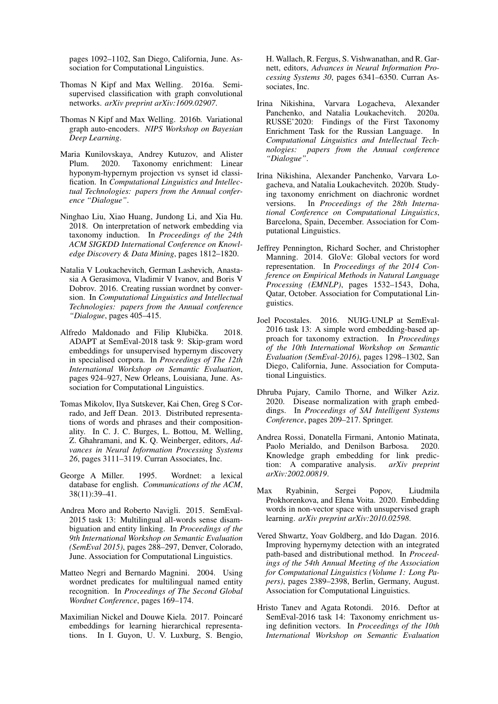pages 1092–1102, San Diego, California, June. Association for Computational Linguistics.

- Thomas N Kipf and Max Welling. 2016a. Semisupervised classification with graph convolutional networks. *arXiv preprint arXiv:1609.02907*.
- Thomas N Kipf and Max Welling. 2016b. Variational graph auto-encoders. *NIPS Workshop on Bayesian Deep Learning*.
- Maria Kunilovskaya, Andrey Kutuzov, and Alister Plum. 2020. Taxonomy enrichment: Linear hyponym-hypernym projection vs synset id classification. In *Computational Linguistics and Intellectual Technologies: papers from the Annual conference "Dialogue"*.
- Ninghao Liu, Xiao Huang, Jundong Li, and Xia Hu. 2018. On interpretation of network embedding via taxonomy induction. In *Proceedings of the 24th ACM SIGKDD International Conference on Knowledge Discovery & Data Mining*, pages 1812–1820.
- Natalia V Loukachevitch, German Lashevich, Anastasia A Gerasimova, Vladimir V Ivanov, and Boris V Dobrov. 2016. Creating russian wordnet by conversion. In *Computational Linguistics and Intellectual Technologies: papers from the Annual conference "Dialogue*, pages 405–415.
- Alfredo Maldonado and Filip Klubička. 2018. ADAPT at SemEval-2018 task 9: Skip-gram word embeddings for unsupervised hypernym discovery in specialised corpora. In *Proceedings of The 12th International Workshop on Semantic Evaluation*, pages 924–927, New Orleans, Louisiana, June. Association for Computational Linguistics.
- Tomas Mikolov, Ilya Sutskever, Kai Chen, Greg S Corrado, and Jeff Dean. 2013. Distributed representations of words and phrases and their compositionality. In C. J. C. Burges, L. Bottou, M. Welling, Z. Ghahramani, and K. Q. Weinberger, editors, *Advances in Neural Information Processing Systems 26*, pages 3111–3119. Curran Associates, Inc.
- George A Miller. 1995. Wordnet: a lexical database for english. *Communications of the ACM*, 38(11):39–41.
- Andrea Moro and Roberto Navigli. 2015. SemEval-2015 task 13: Multilingual all-words sense disambiguation and entity linking. In *Proceedings of the 9th International Workshop on Semantic Evaluation (SemEval 2015)*, pages 288–297, Denver, Colorado, June. Association for Computational Linguistics.
- Matteo Negri and Bernardo Magnini. 2004. Using wordnet predicates for multilingual named entity recognition. In *Proceedings of The Second Global Wordnet Conference*, pages 169–174.
- Maximilian Nickel and Douwe Kiela. 2017. Poincaré embeddings for learning hierarchical representations. In I. Guyon, U. V. Luxburg, S. Bengio,

H. Wallach, R. Fergus, S. Vishwanathan, and R. Garnett, editors, *Advances in Neural Information Processing Systems 30*, pages 6341–6350. Curran Associates, Inc.

- Irina Nikishina, Varvara Logacheva, Alexander Panchenko, and Natalia Loukachevitch. 2020a. RUSSE'2020: Findings of the First Taxonomy Enrichment Task for the Russian Language. In *Computational Linguistics and Intellectual Technologies: papers from the Annual conference "Dialogue"*.
- Irina Nikishina, Alexander Panchenko, Varvara Logacheva, and Natalia Loukachevitch. 2020b. Studying taxonomy enrichment on diachronic wordnet versions. In *Proceedings of the 28th International Conference on Computational Linguistics*, Barcelona, Spain, December. Association for Computational Linguistics.
- Jeffrey Pennington, Richard Socher, and Christopher Manning. 2014. GloVe: Global vectors for word representation. In *Proceedings of the 2014 Conference on Empirical Methods in Natural Language Processing (EMNLP)*, pages 1532–1543, Doha, Qatar, October. Association for Computational Linguistics.
- Joel Pocostales. 2016. NUIG-UNLP at SemEval-2016 task 13: A simple word embedding-based approach for taxonomy extraction. In *Proceedings of the 10th International Workshop on Semantic Evaluation (SemEval-2016)*, pages 1298–1302, San Diego, California, June. Association for Computational Linguistics.
- Dhruba Pujary, Camilo Thorne, and Wilker Aziz. 2020. Disease normalization with graph embeddings. In *Proceedings of SAI Intelligent Systems Conference*, pages 209–217. Springer.
- Andrea Rossi, Donatella Firmani, Antonio Matinata, Paolo Merialdo, and Denilson Barbosa. 2020. Knowledge graph embedding for link prediction: A comparative analysis.  $arXiv$  preprint tion: A comparative analysis. *arXiv:2002.00819*.
- Max Ryabinin, Sergei Popov, Liudmila Prokhorenkova, and Elena Voita. 2020. Embedding words in non-vector space with unsupervised graph learning. *arXiv preprint arXiv:2010.02598*.
- Vered Shwartz, Yoav Goldberg, and Ido Dagan. 2016. Improving hypernymy detection with an integrated path-based and distributional method. In *Proceedings of the 54th Annual Meeting of the Association for Computational Linguistics (Volume 1: Long Papers)*, pages 2389–2398, Berlin, Germany, August. Association for Computational Linguistics.
- Hristo Tanev and Agata Rotondi. 2016. Deftor at SemEval-2016 task 14: Taxonomy enrichment using definition vectors. In *Proceedings of the 10th International Workshop on Semantic Evaluation*